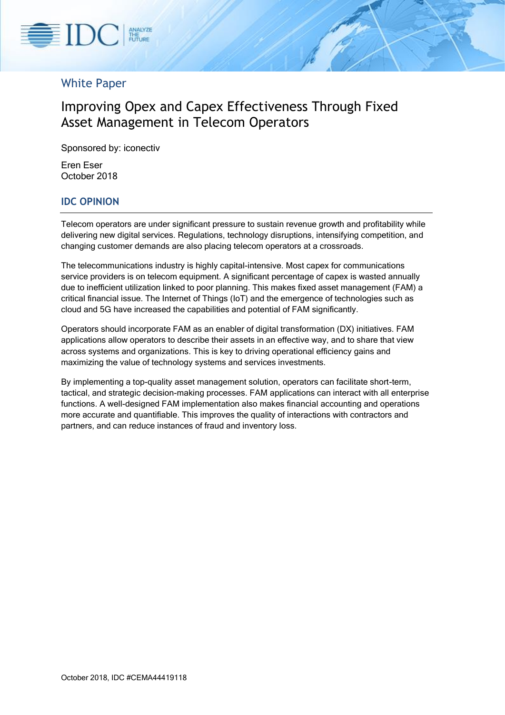

# White Paper

# Improving Opex and Capex Effectiveness Through Fixed Asset Management in Telecom Operators

Sponsored by: iconectiv

Eren Eser October 2018

## **IDC OPINION**

Telecom operators are under significant pressure to sustain revenue growth and profitability while delivering new digital services. Regulations, technology disruptions, intensifying competition, and changing customer demands are also placing telecom operators at a crossroads.

The telecommunications industry is highly capital-intensive. Most capex for communications service providers is on telecom equipment. A significant percentage of capex is wasted annually due to inefficient utilization linked to poor planning. This makes fixed asset management (FAM) a critical financial issue. The Internet of Things (IoT) and the emergence of technologies such as cloud and 5G have increased the capabilities and potential of FAM significantly.

Operators should incorporate FAM as an enabler of digital transformation (DX) initiatives. FAM applications allow operators to describe their assets in an effective way, and to share that view across systems and organizations. This is key to driving operational efficiency gains and maximizing the value of technology systems and services investments.

By implementing a top-quality asset management solution, operators can facilitate short-term, tactical, and strategic decision-making processes. FAM applications can interact with all enterprise functions. A well-designed FAM implementation also makes financial accounting and operations more accurate and quantifiable. This improves the quality of interactions with contractors and partners, and can reduce instances of fraud and inventory loss.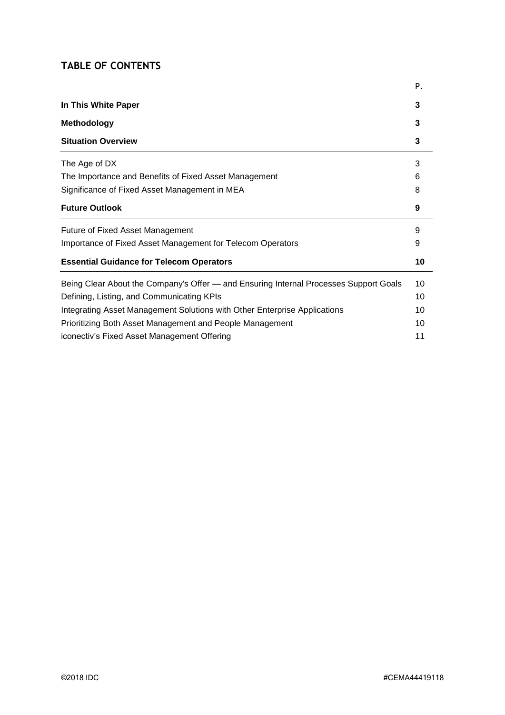# **TABLE OF CONTENTS**

|                                                                                       | Ρ. |
|---------------------------------------------------------------------------------------|----|
| In This White Paper                                                                   | 3  |
| <b>Methodology</b>                                                                    | 3  |
| <b>Situation Overview</b>                                                             | 3  |
| The Age of DX                                                                         | 3  |
| The Importance and Benefits of Fixed Asset Management                                 | 6  |
| Significance of Fixed Asset Management in MEA                                         | 8  |
| <b>Future Outlook</b>                                                                 | 9  |
| <b>Future of Fixed Asset Management</b>                                               | 9  |
| Importance of Fixed Asset Management for Telecom Operators                            | 9  |
| <b>Essential Guidance for Telecom Operators</b>                                       | 10 |
| Being Clear About the Company's Offer — and Ensuring Internal Processes Support Goals | 10 |
| Defining, Listing, and Communicating KPIs                                             | 10 |
| Integrating Asset Management Solutions with Other Enterprise Applications             | 10 |
| Prioritizing Both Asset Management and People Management                              | 10 |
| iconectiv's Fixed Asset Management Offering                                           | 11 |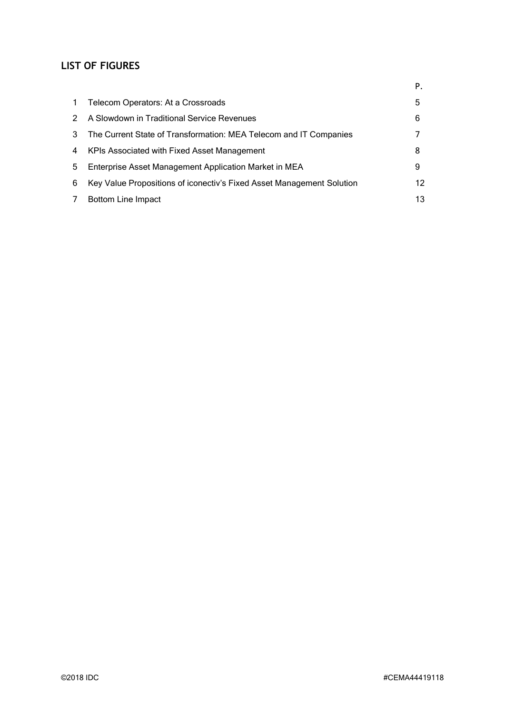# **LIST OF FIGURES**

|    |                                                                       | Р. |
|----|-----------------------------------------------------------------------|----|
| 1. | Telecom Operators: At a Crossroads                                    | 5  |
|    | A Slowdown in Traditional Service Revenues                            | 6  |
| 3  | The Current State of Transformation: MEA Telecom and IT Companies     |    |
| 4  | KPIs Associated with Fixed Asset Management                           | 8  |
| 5. | Enterprise Asset Management Application Market in MEA                 | 9  |
| 6  | Key Value Propositions of iconectiv's Fixed Asset Management Solution | 12 |
|    | <b>Bottom Line Impact</b>                                             | 13 |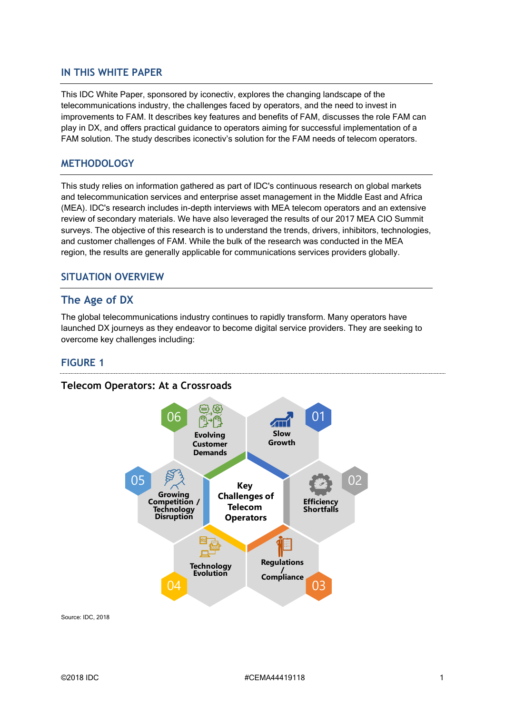### **IN THIS WHITE PAPER**

This IDC White Paper, sponsored by iconectiv, explores the changing landscape of the telecommunications industry, the challenges faced by operators, and the need to invest in improvements to FAM. It describes key features and benefits of FAM, discusses the role FAM can play in DX, and offers practical guidance to operators aiming for successful implementation of a FAM solution. The study describes iconectiv's solution for the FAM needs of telecom operators.

### **METHODOLOGY**

This study relies on information gathered as part of IDC's continuous research on global markets and telecommunication services and enterprise asset management in the Middle East and Africa (MEA). IDC's research includes in-depth interviews with MEA telecom operators and an extensive review of secondary materials. We have also leveraged the results of our 2017 MEA CIO Summit surveys. The objective of this research is to understand the trends, drivers, inhibitors, technologies, and customer challenges of FAM. While the bulk of the research was conducted in the MEA region, the results are generally applicable for communications services providers globally.

### **SITUATION OVERVIEW**

### **The Age of DX**

The global telecommunications industry continues to rapidly transform. Many operators have launched DX journeys as they endeavor to become digital service providers. They are seeking to overcome key challenges including:

#### **FIGURE 1**



**Telecom Operators: At a Crossroads**

Source: IDC, 2018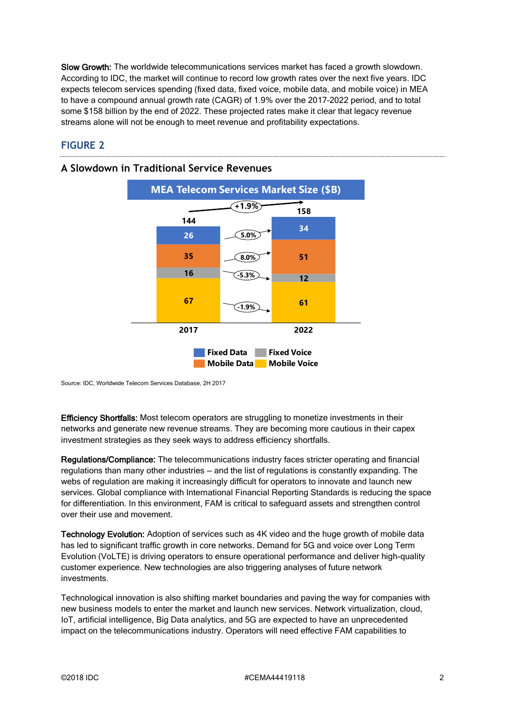Slow Growth: The worldwide telecommunications services market has faced a growth slowdown. According to IDC, the market will continue to record low growth rates over the next five years. IDC expects telecom services spending (fixed data, fixed voice, mobile data, and mobile voice) in MEA to have a compound annual growth rate (CAGR) of 1.9% over the 2017–2022 period, and to total some \$158 billion by the end of 2022. These projected rates make it clear that legacy revenue streams alone will not be enough to meet revenue and profitability expectations.

## **FIGURE 2**



### **A Slowdown in Traditional Service Revenues**

Source: IDC, Worldwide Telecom Services Database, 2H 2017

Efficiency Shortfalls: Most telecom operators are struggling to monetize investments in their networks and generate new revenue streams. They are becoming more cautious in their capex investment strategies as they seek ways to address efficiency shortfalls.

Regulations/Compliance: The telecommunications industry faces stricter operating and financial regulations than many other industries — and the list of regulations is constantly expanding. The webs of regulation are making it increasingly difficult for operators to innovate and launch new services. Global compliance with International Financial Reporting Standards is reducing the space for differentiation. In this environment, FAM is critical to safeguard assets and strengthen control over their use and movement.

Technology Evolution: Adoption of services such as 4K video and the huge growth of mobile data has led to significant traffic growth in core networks. Demand for 5G and voice over Long Term Evolution (VoLTE) is driving operators to ensure operational performance and deliver high-quality customer experience. New technologies are also triggering analyses of future network investments.

Technological innovation is also shifting market boundaries and paving the way for companies with new business models to enter the market and launch new services. Network virtualization, cloud, IoT, artificial intelligence, Big Data analytics, and 5G are expected to have an unprecedented impact on the telecommunications industry. Operators will need effective FAM capabilities to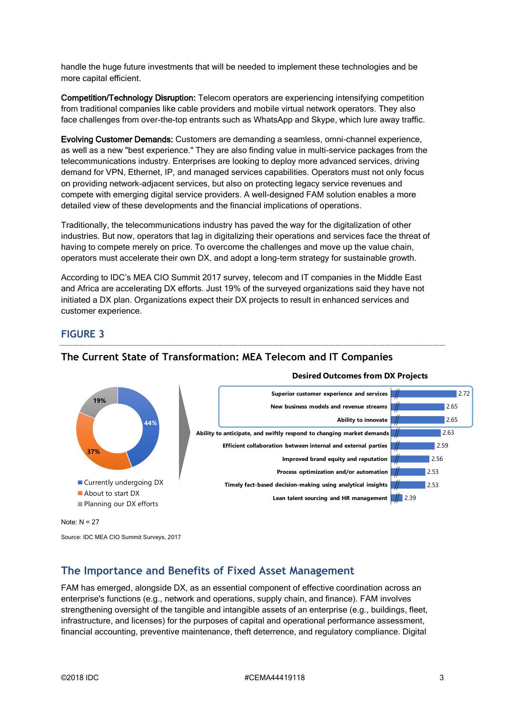handle the huge future investments that will be needed to implement these technologies and be more capital efficient.

Competition/Technology Disruption: Telecom operators are experiencing intensifying competition from traditional companies like cable providers and mobile virtual network operators. They also face challenges from over-the-top entrants such as WhatsApp and Skype, which lure away traffic.

Evolving Customer Demands: Customers are demanding a seamless, omni-channel experience, as well as a new "best experience." They are also finding value in multi-service packages from the telecommunications industry. Enterprises are looking to deploy more advanced services, driving demand for VPN, Ethernet, IP, and managed services capabilities. Operators must not only focus on providing network-adjacent services, but also on protecting legacy service revenues and compete with emerging digital service providers. A well-designed FAM solution enables a more detailed view of these developments and the financial implications of operations.

Traditionally, the telecommunications industry has paved the way for the digitalization of other industries. But now, operators that lag in digitalizing their operations and services face the threat of having to compete merely on price. To overcome the challenges and move up the value chain, operators must accelerate their own DX, and adopt a long-term strategy for sustainable growth.

According to IDC's MEA CIO Summit 2017 survey, telecom and IT companies in the Middle East and Africa are accelerating DX efforts. Just 19% of the surveyed organizations said they have not initiated a DX plan. Organizations expect their DX projects to result in enhanced services and customer experience.

## **FIGURE 3**



### **The Current State of Transformation: MEA Telecom and IT Companies**

Note: N = 27

Source: IDC MEA CIO Summit Surveys, 2017

# **The Importance and Benefits of Fixed Asset Management**

FAM has emerged, alongside DX, as an essential component of effective coordination across an enterprise's functions (e.g., network and operations, supply chain, and finance). FAM involves strengthening oversight of the tangible and intangible assets of an enterprise (e.g., buildings, fleet, infrastructure, and licenses) for the purposes of capital and operational performance assessment, financial accounting, preventive maintenance, theft deterrence, and regulatory compliance. Digital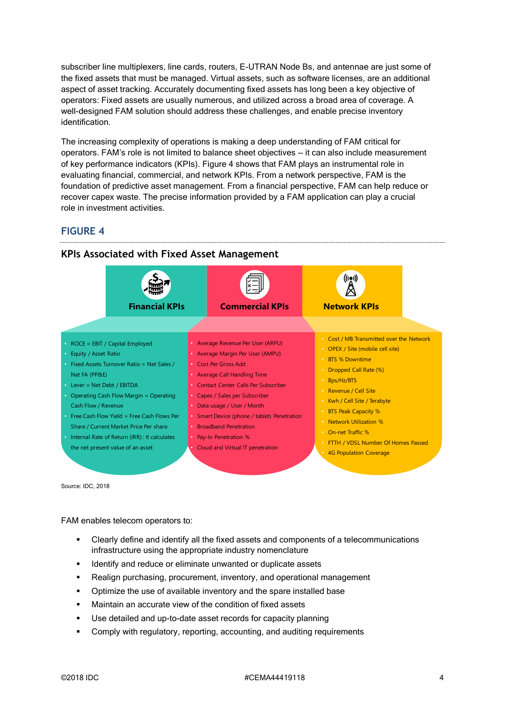subscriber line multiplexers, line cards, routers, E-UTRAN Node Bs, and antennae are just some of the fixed assets that must be managed. Virtual assets, such as software licenses, are an additional aspect of asset tracking. Accurately documenting fixed assets has long been a key objective of operators: Fixed assets are usually numerous, and utilized across a broad area of coverage. A well-designed FAM solution should address these challenges, and enable precise inventory identification.

The increasing complexity of operations is making a deep understanding of FAM critical for operators. FAM's role is not limited to balance sheet objectives — it can also include measurement of key performance indicators (KPIs). Figure 4 shows that FAM plays an instrumental role in evaluating financial, commercial, and network KPIs. From a network perspective, FAM is the foundation of predictive asset management. From a financial perspective, FAM can help reduce or recover capex waste. The precise information provided by a FAM application can play a crucial role in investment activities.

### **FIGURE 4**



**KPIs Associated with Fixed Asset Management**

Source: IDC, 2018

FAM enables telecom operators to:

- Clearly define and identify all the fixed assets and components of a telecommunications infrastructure using the appropriate industry nomenclature
- Identify and reduce or eliminate unwanted or duplicate assets
- Realign purchasing, procurement, inventory, and operational management
- Optimize the use of available inventory and the spare installed base
- Maintain an accurate view of the condition of fixed assets
- Use detailed and up-to-date asset records for capacity planning
- Comply with regulatory, reporting, accounting, and auditing requirements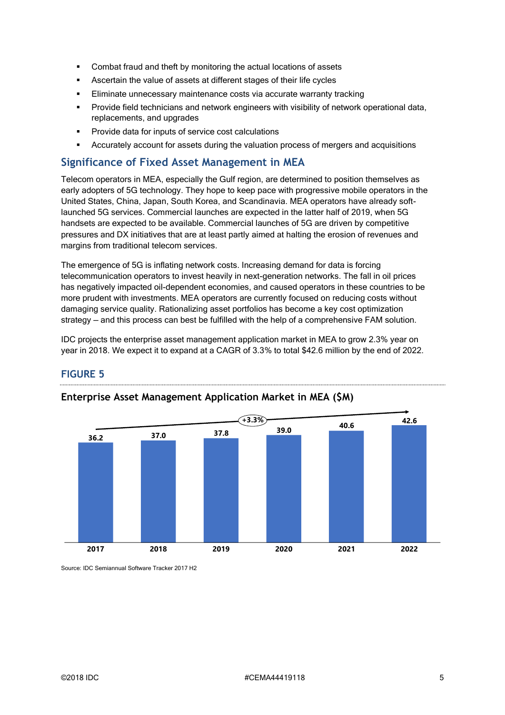- Combat fraud and theft by monitoring the actual locations of assets
- Ascertain the value of assets at different stages of their life cycles
- Eliminate unnecessary maintenance costs via accurate warranty tracking
- **•** Provide field technicians and network engineers with visibility of network operational data, replacements, and upgrades
- Provide data for inputs of service cost calculations
- Accurately account for assets during the valuation process of mergers and acquisitions

### **Significance of Fixed Asset Management in MEA**

Telecom operators in MEA, especially the Gulf region, are determined to position themselves as early adopters of 5G technology. They hope to keep pace with progressive mobile operators in the United States, China, Japan, South Korea, and Scandinavia. MEA operators have already softlaunched 5G services. Commercial launches are expected in the latter half of 2019, when 5G handsets are expected to be available. Commercial launches of 5G are driven by competitive pressures and DX initiatives that are at least partly aimed at halting the erosion of revenues and margins from traditional telecom services.

The emergence of 5G is inflating network costs. Increasing demand for data is forcing telecommunication operators to invest heavily in next-generation networks. The fall in oil prices has negatively impacted oil-dependent economies, and caused operators in these countries to be more prudent with investments. MEA operators are currently focused on reducing costs without damaging service quality. Rationalizing asset portfolios has become a key cost optimization strategy — and this process can best be fulfilled with the help of a comprehensive FAM solution.

IDC projects the enterprise asset management application market in MEA to grow 2.3% year on year in 2018. We expect it to expand at a CAGR of 3.3% to total \$42.6 million by the end of 2022.

# **FIGURE 5**



### **Enterprise Asset Management Application Market in MEA (\$M)**

Source: IDC Semiannual Software Tracker 2017 H2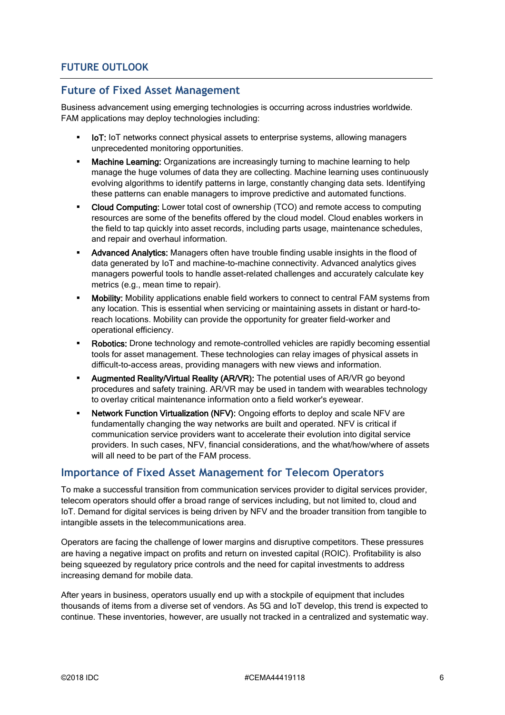## **Future of Fixed Asset Management**

Business advancement using emerging technologies is occurring across industries worldwide. FAM applications may deploy technologies including:

- **IoT:** IoT networks connect physical assets to enterprise systems, allowing managers unprecedented monitoring opportunities.
- Machine Learning: Organizations are increasingly turning to machine learning to help manage the huge volumes of data they are collecting. Machine learning uses continuously evolving algorithms to identify patterns in large, constantly changing data sets. Identifying these patterns can enable managers to improve predictive and automated functions.
- Cloud Computing: Lower total cost of ownership (TCO) and remote access to computing resources are some of the benefits offered by the cloud model. Cloud enables workers in the field to tap quickly into asset records, including parts usage, maintenance schedules, and repair and overhaul information.
- Advanced Analytics: Managers often have trouble finding usable insights in the flood of data generated by IoT and machine-to-machine connectivity. Advanced analytics gives managers powerful tools to handle asset-related challenges and accurately calculate key metrics (e.g., mean time to repair).
- **Mobility:** Mobility applications enable field workers to connect to central FAM systems from any location. This is essential when servicing or maintaining assets in distant or hard-toreach locations. Mobility can provide the opportunity for greater field-worker and operational efficiency.
- Robotics: Drone technology and remote-controlled vehicles are rapidly becoming essential tools for asset management. These technologies can relay images of physical assets in difficult-to-access areas, providing managers with new views and information.
- **Augmented Reality/Virtual Reality (AR/VR):** The potential uses of AR/VR go beyond procedures and safety training. AR/VR may be used in tandem with wearables technology to overlay critical maintenance information onto a field worker's eyewear.
- Network Function Virtualization (NFV): Ongoing efforts to deploy and scale NFV are fundamentally changing the way networks are built and operated. NFV is critical if communication service providers want to accelerate their evolution into digital service providers. In such cases, NFV, financial considerations, and the what/how/where of assets will all need to be part of the FAM process.

# **Importance of Fixed Asset Management for Telecom Operators**

To make a successful transition from communication services provider to digital services provider, telecom operators should offer a broad range of services including, but not limited to, cloud and IoT. Demand for digital services is being driven by NFV and the broader transition from tangible to intangible assets in the telecommunications area.

Operators are facing the challenge of lower margins and disruptive competitors. These pressures are having a negative impact on profits and return on invested capital (ROIC). Profitability is also being squeezed by regulatory price controls and the need for capital investments to address increasing demand for mobile data.

After years in business, operators usually end up with a stockpile of equipment that includes thousands of items from a diverse set of vendors. As 5G and IoT develop, this trend is expected to continue. These inventories, however, are usually not tracked in a centralized and systematic way.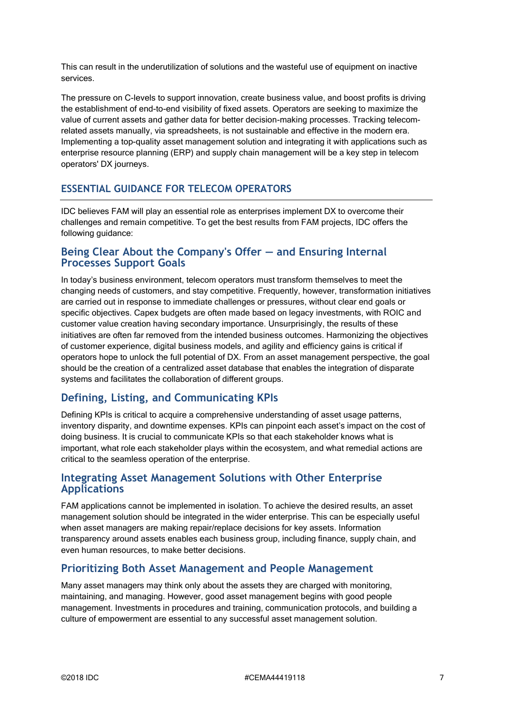This can result in the underutilization of solutions and the wasteful use of equipment on inactive services.

The pressure on C-levels to support innovation, create business value, and boost profits is driving the establishment of end-to-end visibility of fixed assets. Operators are seeking to maximize the value of current assets and gather data for better decision-making processes. Tracking telecomrelated assets manually, via spreadsheets, is not sustainable and effective in the modern era. Implementing a top-quality asset management solution and integrating it with applications such as enterprise resource planning (ERP) and supply chain management will be a key step in telecom operators' DX journeys.

### **ESSENTIAL GUIDANCE FOR TELECOM OPERATORS**

IDC believes FAM will play an essential role as enterprises implement DX to overcome their challenges and remain competitive. To get the best results from FAM projects, IDC offers the following guidance:

### **Being Clear About the Company's Offer — and Ensuring Internal Processes Support Goals**

In today's business environment, telecom operators must transform themselves to meet the changing needs of customers, and stay competitive. Frequently, however, transformation initiatives are carried out in response to immediate challenges or pressures, without clear end goals or specific objectives. Capex budgets are often made based on legacy investments, with ROIC and customer value creation having secondary importance. Unsurprisingly, the results of these initiatives are often far removed from the intended business outcomes. Harmonizing the objectives of customer experience, digital business models, and agility and efficiency gains is critical if operators hope to unlock the full potential of DX. From an asset management perspective, the goal should be the creation of a centralized asset database that enables the integration of disparate systems and facilitates the collaboration of different groups.

# **Defining, Listing, and Communicating KPIs**

Defining KPIs is critical to acquire a comprehensive understanding of asset usage patterns, inventory disparity, and downtime expenses. KPIs can pinpoint each asset's impact on the cost of doing business. It is crucial to communicate KPIs so that each stakeholder knows what is important, what role each stakeholder plays within the ecosystem, and what remedial actions are critical to the seamless operation of the enterprise.

### **Integrating Asset Management Solutions with Other Enterprise Applications**

FAM applications cannot be implemented in isolation. To achieve the desired results, an asset management solution should be integrated in the wider enterprise. This can be especially useful when asset managers are making repair/replace decisions for key assets. Information transparency around assets enables each business group, including finance, supply chain, and even human resources, to make better decisions.

## **Prioritizing Both Asset Management and People Management**

Many asset managers may think only about the assets they are charged with monitoring, maintaining, and managing. However, good asset management begins with good people management. Investments in procedures and training, communication protocols, and building a culture of empowerment are essential to any successful asset management solution.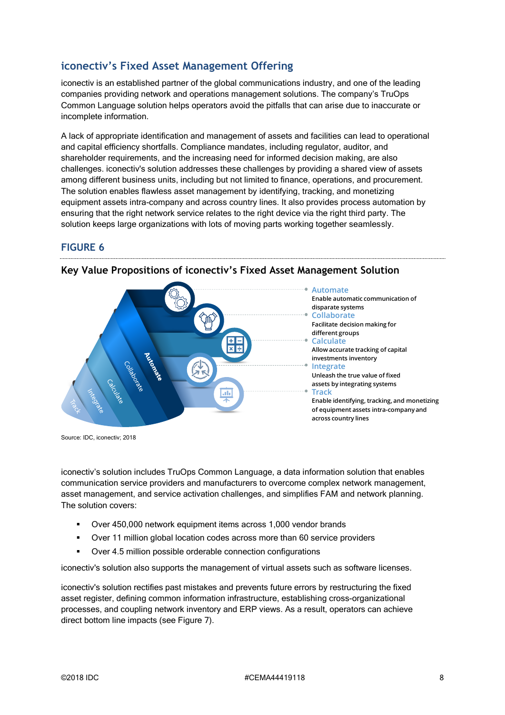# **iconectiv's Fixed Asset Management Offering**

iconectiv is an established partner of the global communications industry, and one of the leading companies providing network and operations management solutions. The company's TruOps Common Language solution helps operators avoid the pitfalls that can arise due to inaccurate or incomplete information.

A lack of appropriate identification and management of assets and facilities can lead to operational and capital efficiency shortfalls. Compliance mandates, including regulator, auditor, and shareholder requirements, and the increasing need for informed decision making, are also challenges. iconectiv's solution addresses these challenges by providing a shared view of assets among different business units, including but not limited to finance, operations, and procurement. The solution enables flawless asset management by identifying, tracking, and monetizing equipment assets intra-company and across country lines. It also provides process automation by ensuring that the right network service relates to the right device via the right third party. The solution keeps large organizations with lots of moving parts working together seamlessly.

### **FIGURE 6**



**Key Value Propositions of iconectiv's Fixed Asset Management Solution**

Source: IDC, iconectiv; 2018

iconectiv's solution includes TruOps Common Language, a data information solution that enables communication service providers and manufacturers to overcome complex network management, asset management, and service activation challenges, and simplifies FAM and network planning. The solution covers:

- Over 450,000 network equipment items across 1,000 vendor brands
- Over 11 million global location codes across more than 60 service providers
- Over 4.5 million possible orderable connection configurations

iconectiv's solution also supports the management of virtual assets such as software licenses.

iconectiv's solution rectifies past mistakes and prevents future errors by restructuring the fixed asset register, defining common information infrastructure, establishing cross-organizational processes, and coupling network inventory and ERP views. As a result, operators can achieve direct bottom line impacts (see Figure 7).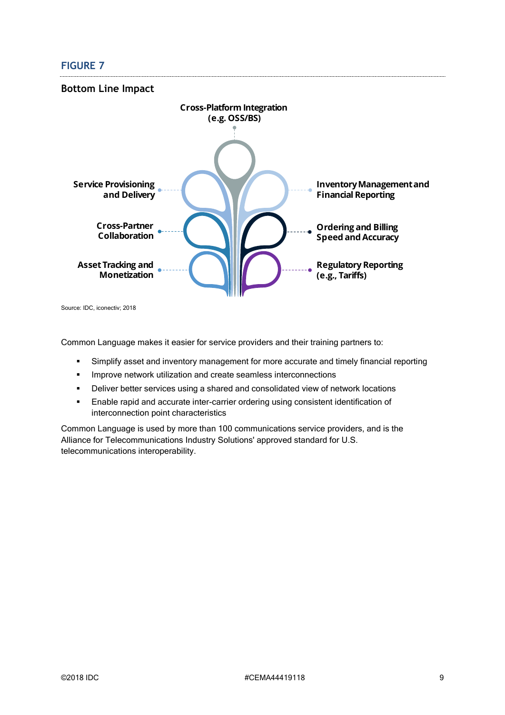# **FIGURE 7**



Common Language makes it easier for service providers and their training partners to:

- Simplify asset and inventory management for more accurate and timely financial reporting
- **·** Improve network utilization and create seamless interconnections
- Deliver better services using a shared and consolidated view of network locations
- Enable rapid and accurate inter-carrier ordering using consistent identification of interconnection point characteristics

Common Language is used by more than 100 communications service providers, and is the Alliance for Telecommunications Industry Solutions' approved standard for U.S. telecommunications interoperability.